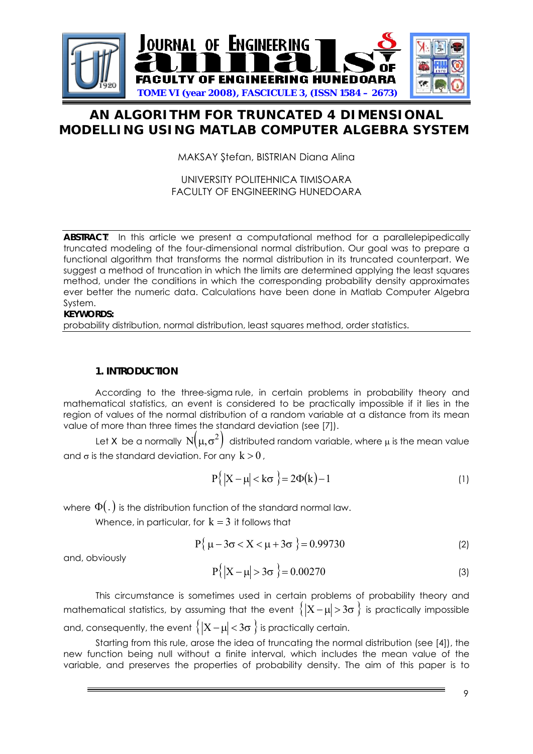

# **AN ALGORITHM FOR TRUNCATED 4 DIMENSIONAL MODELLING USING MATLAB COMPUTER ALGEBRA SYSTEM**

MAKSAY Ştefan, BISTRIAN Diana Alina

## UNIVERSITY POLITEHNICA TIMISOARA FACULTY OF ENGINEERING HUNEDOARA

**ABSTRACT**: In this article we present a computational method for a parallelepipedically truncated modeling of the four-dimensional normal distribution. Our goal was to prepare a functional algorithm that transforms the normal distribution in its truncated counterpart. We suggest a method of truncation in which the limits are determined applying the least squares method, under the conditions in which the corresponding probability density approximates ever better the numeric data. Calculations have been done in Matlab Computer Algebra System.

#### **KEYWORDS:**

probability distribution, normal distribution, least squares method, order statistics.

## **1. INTRODUCTION**

According to the three-sigma rule, in certain problems in probability theory and mathematical statistics, an event is considered to be practically impossible if it lies in the region of values of the normal distribution of a random variable at a distance from its mean value of more than three times the standard deviation (see [7]).

Let *X* be a normally  $N(\mu, \sigma^2)$  distributed random variable, where  $\mu$  is the mean value and  $\sigma$  is the standard deviation. For any  $k > 0$ ,

$$
P\{|X - \mu| < k\sigma\} = 2\Phi(k) - 1\tag{1}
$$

where  $\Phi(.)$  is the distribution function of the standard normal law.

Whence, in particular, for  $k = 3$  it follows that

$$
P\{\mu - 3\sigma < X < \mu + 3\sigma\} = 0.99730\tag{2}
$$

and, obviously

$$
P{ |X - \mu| > 3\sigma } = 0.00270
$$
 (3)

This circumstance is sometimes used in certain problems of probability theory and mathematical statistics, by assuming that the event  $\{ |X-\mu| > 3\sigma \}$  is practically impossible and, consequently, the event  $\{ |X-\mu| < 3\sigma \}$  is practically certain.

Starting from this rule, arose the idea of truncating the normal distribution (see [4]), the new function being null without a finite interval, which includes the mean value of the variable, and preserves the properties of probability density. The aim of this paper is to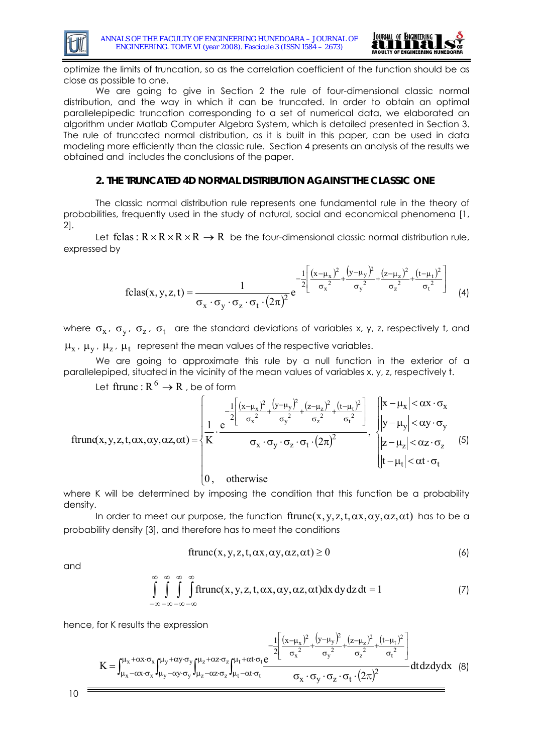



optimize the limits of truncation, so as the correlation coefficient of the function should be as close as possible to one.

We are going to give in Section 2 the rule of four-dimensional classic normal distribution, and the way in which it can be truncated. In order to obtain an optimal parallelepipedic truncation corresponding to a set of numerical data, we elaborated an algorithm under Matlab Computer Algebra System, which is detailed presented in Section 3. The rule of truncated normal distribution, as it is built in this paper, can be used in data modeling more efficiently than the classic rule. Section 4 presents an analysis of the results we obtained and includes the conclusions of the paper.

#### **2. THE TRUNCATED 4D NORMAL DISTRIBUTION AGAINST THE CLASSIC ONE**

The classic normal distribution rule represents one fundamental rule in the theory of probabilities, frequently used in the study of natural, social and economical phenomena [1, 2].

Let fclas:  $R \times R \times R \times R \rightarrow R$  be the four-dimensional classic normal distribution rule, expressed by

$$
\text{fclas}(x, y, z, t) = \frac{1}{\sigma_x \cdot \sigma_y \cdot \sigma_z \cdot \sigma_t \cdot (2\pi)^2} e^{-\frac{1}{2} \left[ \frac{(x - \mu_x)^2}{\sigma_x^2} + \frac{(y - \mu_y)^2}{\sigma_y^2} + \frac{(z - \mu_z)^2}{\sigma_z^2} + \frac{(t - \mu_t)^2}{\sigma_t^2} \right]} \tag{4}
$$

where  $\sigma_x$ ,  $\sigma_y$ ,  $\sigma_z$ ,  $\sigma_t$  are the standard deviations of variables x, y, z, respectively t, and  $\mu_x$ ,  $\mu_y$ ,  $\mu_z$ ,  $\mu_t$  represent the mean values of the respective variables.

We are going to approximate this rule by a null function in the exterior of a parallelepiped, situated in the vicinity of the mean values of variables x, y, z, respectively t.

Let ftrunc :  $R^6 \rightarrow R$ , be of form

$$
ftrun\alpha(x, y, z, t, \alpha x, \alpha y, \alpha z, \alpha t) = \begin{cases} \frac{1}{\alpha} \left[ \frac{(x - \mu_x)^2}{\sigma_x^2} + \frac{(y - \mu_y)^2}{\sigma_y^2} + \frac{(z - \mu_z)^2}{\sigma_z^2} + \frac{(t - \mu_t)^2}{\sigma_t^2} \right] & \begin{cases} |x - \mu_x| < \alpha x \cdot \sigma_x \\ |y - \mu_y| < \alpha y \cdot \sigma_y \\ |y - \mu_y| < \alpha y \cdot \sigma_y \end{cases} & \begin{cases} |x - \mu_x| < \alpha x \cdot \sigma_x \\ |y - \mu_y| < \alpha y \cdot \sigma_y \\ |z - \mu_z| < \alpha z \cdot \sigma_z \end{cases} \tag{5}
$$

where K will be determined by imposing the condition that this function be a probability density.

In order to meet our purpose, the function  $frame(x, y, z, t, \alpha x, \alpha y, \alpha z, \alpha t)$  has to be a probability density [3], and therefore has to meet the conditions

$$
ftrunc(x, y, z, t, \alpha x, \alpha y, \alpha z, \alpha t) \ge 0
$$
\n(6)

and

$$
\int_{-\infty}^{\infty} \int_{-\infty}^{\infty} \int_{-\infty}^{\infty} f(\text{trunc}(x, y, z, t, \alpha x, \alpha y, \alpha z, \alpha t) dx dy dz dt = 1
$$
 (7)

hence, for K results the expression

$$
K=\int_{\mu_x-\alpha x\cdot\sigma_x}^{\mu_x+\alpha x\cdot\sigma_x}\int_{\mu_y-\alpha y\cdot\sigma_y}^{\mu_y+\alpha y\cdot\sigma_y}\int_{\mu_z-\alpha z\cdot\sigma_z}^{\mu_z+\alpha z\cdot\sigma_z}\int_{\mu_t-\alpha t\cdot\sigma_t}^{\mu_t+\alpha t\cdot\sigma_t}\frac{\frac{1}{2}\left[\frac{(x-\mu_x)^2}{\sigma_x^2}+\frac{(y-\mu_y)^2}{\sigma_y^2}+\frac{(z-\mu_z)^2}{\sigma_z^2}+\frac{(t-\mu_t)^2}{\sigma_t^2}\right]}{\sigma_x\cdot\sigma_y\cdot\sigma_z\cdot\sigma_t\cdot(2\pi)^2}dtdzdydx\quad(8)
$$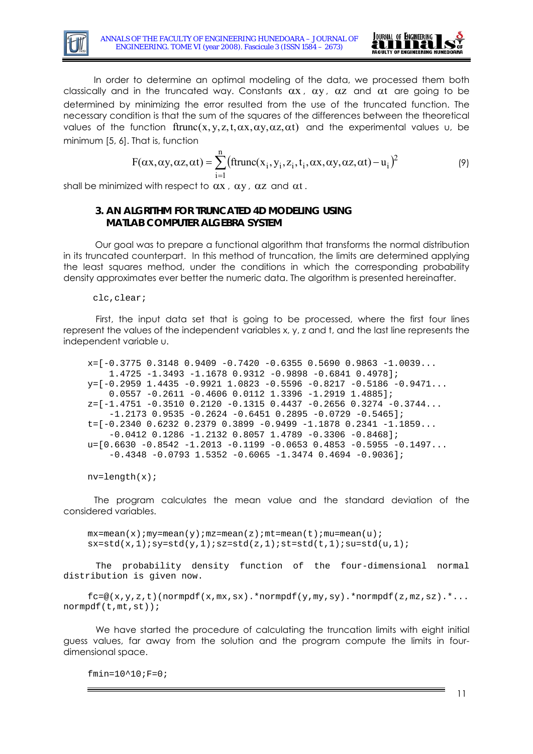



 In order to determine an optimal modeling of the data, we processed them both classically and in the truncated way. Constants  $\alpha x$ ,  $\alpha y$ ,  $\alpha z$  and  $\alpha t$  are going to be determined by minimizing the error resulted from the use of the truncated function. The necessary condition is that the sum of the squares of the differences between the theoretical values of the function  $frame(x,y,z,t,\alpha x,\alpha y,\alpha z,\alpha t)$  and the experimental values u, be minimum [5, 6]. That is, function

$$
F(\alpha x, \alpha y, \alpha z, \alpha t) = \sum_{i=1}^{n} (\text{ftrunc}(x_i, y_i, z_i, t_i, \alpha x, \alpha y, \alpha z, \alpha t) - u_i)^2
$$
(9)

shall be minimized with respect to  $\alpha x$ ,  $\alpha y$ ,  $\alpha z$  and  $\alpha t$ .

#### **3. AN ALGRITHM FOR TRUNCATED 4D MODELING USING MATLAB COMPUTER ALGEBRA SYSTEM**

Our goal was to prepare a functional algorithm that transforms the normal distribution in its truncated counterpart. In this method of truncation, the limits are determined applying the least squares method, under the conditions in which the corresponding probability density approximates ever better the numeric data. The algorithm is presented hereinafter.

clc,clear;

First, the input data set that is going to be processed, where the first four lines represent the values of the independent variables x, y, z and t, and the last line represents the independent variable u.

```
x=[-0.3775 \t 0.3148 \t 0.9409 \t -0.7420 \t -0.6355 \t 0.5690 \t 0.9863 \t -1.0039... 1.4725 -1.3493 -1.1678 0.9312 -0.9898 -0.6841 0.4978];
y=[-0.2959 \t1.4435 \t-0.9921 \t1.0823 \t-0.5596 \t-0.8217 \t-0.5186 \t-0.9471...] 0.0557 -0.2611 -0.4606 0.0112 1.3396 -1.2919 1.4885];
z=[-1.4751 -0.3510 0.2120 -0.1315 0.4437 -0.2656 0.3274 -0.3744...]-1.2173 0.9535 -0.2624 -0.6451 0.2895 -0.0729 -0.5465];
t=[-0.2340 \t0.6232 \t0.2379 \t0.3899 \t-0.9499 \t-1.1878 \t0.2341 \t-1.1859...]-0.0412 0.1286 -1.2132 0.8057 1.4789 -0.3306 -0.8468];
u=[0.6630 -0.8542 -1.2013 -0.1199 -0.0653 0.4853 -0.5955 -0.1497...]-0.4348 - 0.0793 1.5352 -0.6065 -1.3474 0.4694 -0.9036];
```

```
nv = length(x);
```
The program calculates the mean value and the standard deviation of the considered variables.

 $mx=mean(x)$ ;  $my=mean(y)$ ;  $mz=mean(z)$ ;  $mt=mean(t)$ ;  $mu=mean(u)$ ;  $s x=std(x,1); s y=std(y,1); s z=std(z,1); s t=std(t,1); s u=std(u,1);$ 

The probability density function of the four-dimensional normal distribution is given now.

 $fc = @(x,y,z,t)$ (normpdf(x,mx,sx).\*normpdf(y,my,sy).\*normpdf(z,mz,sz).\*... normpdf(t,mt,st));

We have started the procedure of calculating the truncation limits with eight initial guess values, far away from the solution and the program compute the limits in fourdimensional space.

 $fmin=10^10;F=0;$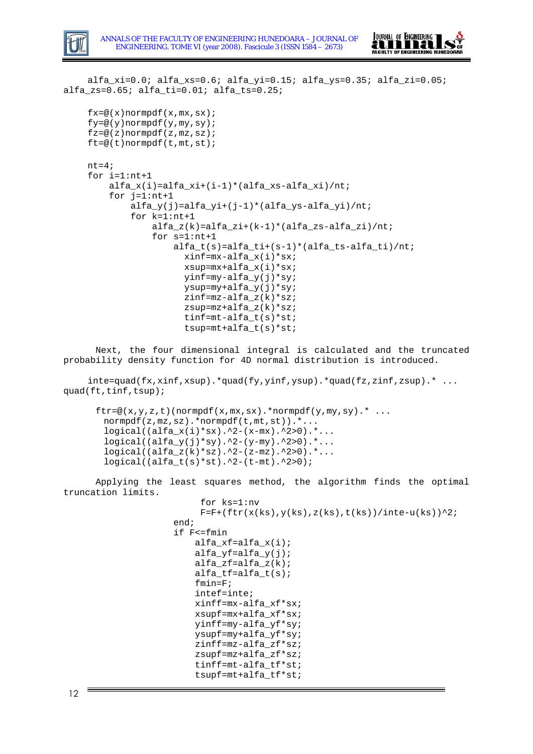



alfa\_xi=0.0; alfa\_xs=0.6; alfa\_yi=0.15; alfa\_ys=0.35; alfa\_zi=0.05; alfa\_zs=0.65; alfa\_ti=0.01; alfa\_ts=0.25;

```
fx = @(x)normpdf(x, mx, sx);fy = @ (y)normpdf(y, my, sy);
f(z=@(z)normpdf(z, mz, sz);
ft=@(t)normpdf(t,mt,st);
nt=4;for i=1:nt+1
     alfa_x(i)=alfa_xi+(i-1)*(alfa_xs-alfa_xi)/nt;
    for i=1:nt+1 alfa_y(j)=alfa_yi+(j-1)*(alfa_ys-alfa_yi)/nt;
         for k=1:nt+1
             alfa_z(k)=alfa_zi+(k-1)*(alfa_zs-alfa_zi)/nt;
             for s=1:nt+1
                  alfa_t(s)=alfa_ti+(s-1)*(alfa_ts-alfa_ti)/nt;
                    xinf=mx-alfa_x(i)*sx;
                    xsup=mx+alfa_x(i)*sx;
                    yinf=my-alfa_y(j)*sy;
                    ysup=my+alfa_y(j)*sy;
                    zinf=mz-alfa_z(k)*sz; 
                    zsup=mz+alfa_z(k)*sz;
                    tinf=mt-alfa_t(s)*st; 
                    tsup=mt+alfa_t(s)*st;
```
Next, the four dimensional integral is calculated and the truncated probability density function for 4D normal distribution is introduced.

 $\text{int} = \text{quad}(fx, x\text{inf}, x\text{sup})$ .\* $\text{quad}(fy, y\text{inf}, y\text{sup})$ .\* $\text{quad}(fz, z\text{inf}, z\text{sup})$ .\* ... quad(ft,tinf,tsup);

```
ftr = \mathcal{Q}(x, y, z, t)(normpdf(x,mx,sx).*normpdf(y,my,sy).*...
  normpdf(z,mz,sz).*normpdf(t,mt,st)).*...
  logical((alfa_x(i)*sx).^2-(x-mx).^2>0).*...
 logical((alfa_y(j)*sy).^2-(y-my).^2>0).*.logical((alfa_z(k)*sz).^2-(z-mz).^2>0).*. logical((alfa_t(s)*st).^2-(t-mt).^2>0);
```
Applying the least squares method, the algorithm finds the optimal truncation limits.

```
 for ks=1:nv 
     F=F+(ftr(x(ks),y(ks),z(ks),t(ks))/inte-u(ks))^2; end;
 if F<=fmin
     alfa_xf=alfa_x(i);
     alfa_yf=alfa_y(j);
    alfa_zf=alfa_z(k);alfa tf=alfat(s); fmin=F;
     intef=inte;
     xinff=mx-alfa_xf*sx;
     xsupf=mx+alfa_xf*sx;
     yinff=my-alfa_yf*sy; 
     ysupf=my+alfa_yf*sy;
     zinff=mz-alfa_zf*sz;
     zsupf=mz+alfa_zf*sz;
     tinff=mt-alfa_tf*st; 
     tsupf=mt+alfa_tf*st;
```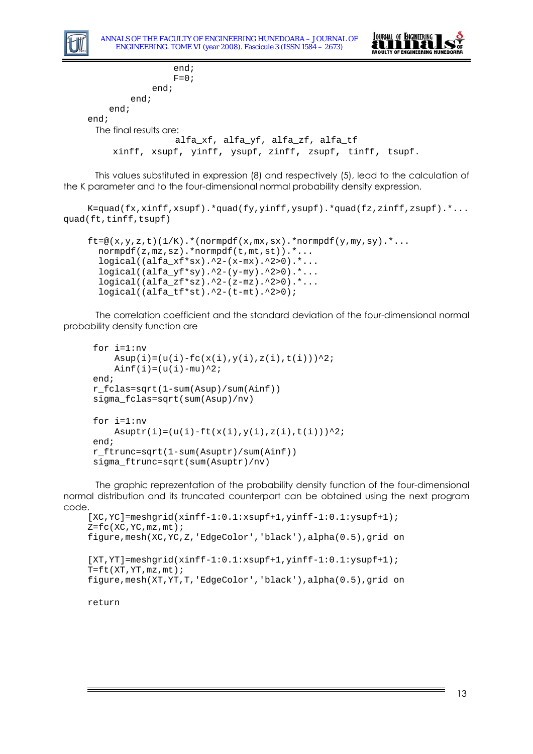



```
 end;
                 F=0; end;
         end;
     end;
end;
 The final results are: 
                  alfa_xf, alfa_yf, alfa_zf, alfa_tf
     xinff, xsupf, yinff, ysupf, zinff, zsupf, tinff, tsupf.
```
This values substituted in expression (8) and respectively (5), lead to the calculation of the K parameter and to the four-dimensional normal probability density expression.

```
K=quad(fx,xinff,xsupf).*quad(fy,yinff,ysupf).*quad(fz,zinff,zsupf).*...
quad(ft,tinff,tsupf)
```

```
ft = @(x,y,z,t)(1/K).*(normpdf(x,mx,sx).*normpdf(y,my,sy).*...
  normpdf(z,mz,sz).*normpdf(t,mt,st)).*...
  logical((alfa_xf*sx).^2-(x-mx).^2>0).*...
  logical((alfa_yf*sy).^2-(y-my).^2>0).*...
  logical((alfa_zf*sz).^2-(z-mz).^2>0).*...
  logical((alfa_tf*st).^2-(t-mt).^2>0);
```
The correlation coefficient and the standard deviation of the four-dimensional normal probability density function are

```
 for i=1:nv
    Asup(i)=(u(i)-fc(x(i),y(i),z(i),t(i)))^2;
    Ainf(i)=(u(i)-mu)^2;
 end;
 r_fclas=sqrt(1-sum(Asup)/sum(Ainf)) 
 sigma_fclas=sqrt(sum(Asup)/nv) 
 for i=1:nv
    Asuptr(i)=(u(i)-ft(x(i),y(i),z(i),t(i)))^2;
 end;
 r_ftrunc=sqrt(1-sum(Asuptr)/sum(Ainf)) 
 sigma_ftrunc=sqrt(sum(Asuptr)/nv)
```
The graphic reprezentation of the probability density function of the four-dimensional normal distribution and its truncated counterpart can be obtained using the next program code.

```
[XC,YC]=meshgrid(xinff-1:0.1:xsupf+1,yinff-1:0.1:ysupf+1);
Z = fc(XC, YC, mz, mt);figure,mesh(XC,YC,Z,'EdgeColor','black'),alpha(0.5),grid on
[XT,YT]=meshgrid(xinff-1:0.1:xsupf+1,yinff-1:0.1:ysupf+1);T = f t(XT, YT, mz, mt);figure,mesh(XT,YT,T,'EdgeColor','black'),alpha(0.5),grid on
```
return